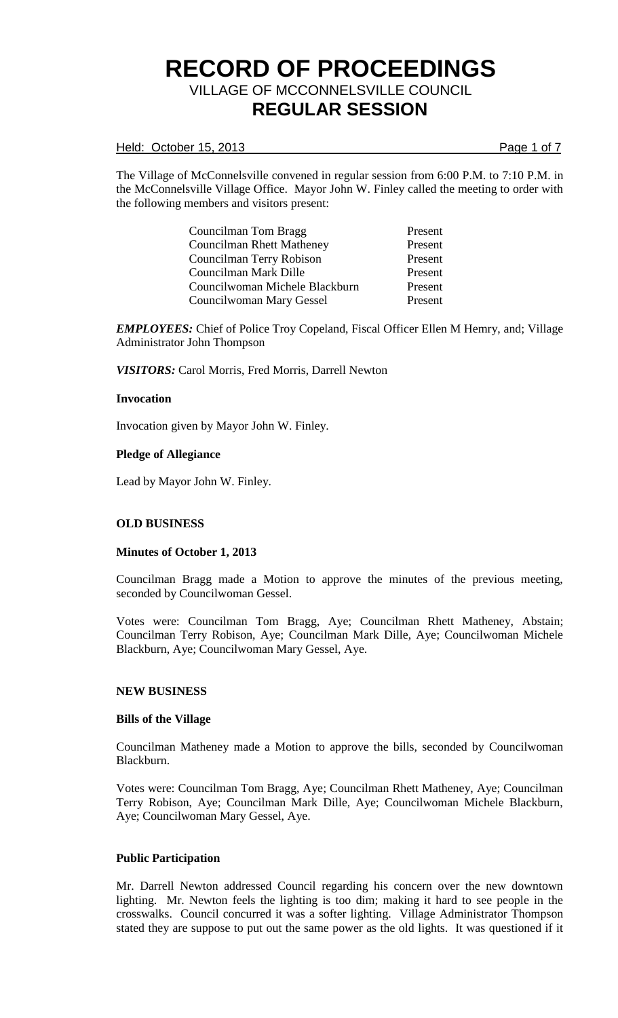Held: October 15, 2013 **Page 1 of 7** 

The Village of McConnelsville convened in regular session from 6:00 P.M. to 7:10 P.M. in the McConnelsville Village Office. Mayor John W. Finley called the meeting to order with the following members and visitors present:

> Councilman Tom Bragg Present Councilman Rhett Matheney Present Councilman Terry Robison Present Councilman Mark Dille Present Councilwoman Michele Blackburn Present Councilwoman Mary Gessel Present

*EMPLOYEES:* Chief of Police Troy Copeland, Fiscal Officer Ellen M Hemry, and; Village Administrator John Thompson

*VISITORS:* Carol Morris, Fred Morris, Darrell Newton

## **Invocation**

Invocation given by Mayor John W. Finley.

### **Pledge of Allegiance**

Lead by Mayor John W. Finley.

## **OLD BUSINESS**

#### **Minutes of October 1, 2013**

Councilman Bragg made a Motion to approve the minutes of the previous meeting, seconded by Councilwoman Gessel.

Votes were: Councilman Tom Bragg, Aye; Councilman Rhett Matheney, Abstain; Councilman Terry Robison, Aye; Councilman Mark Dille, Aye; Councilwoman Michele Blackburn, Aye; Councilwoman Mary Gessel, Aye.

#### **NEW BUSINESS**

#### **Bills of the Village**

Councilman Matheney made a Motion to approve the bills, seconded by Councilwoman Blackburn.

Votes were: Councilman Tom Bragg, Aye; Councilman Rhett Matheney, Aye; Councilman Terry Robison, Aye; Councilman Mark Dille, Aye; Councilwoman Michele Blackburn, Aye; Councilwoman Mary Gessel, Aye.

#### **Public Participation**

Mr. Darrell Newton addressed Council regarding his concern over the new downtown lighting. Mr. Newton feels the lighting is too dim; making it hard to see people in the crosswalks. Council concurred it was a softer lighting. Village Administrator Thompson stated they are suppose to put out the same power as the old lights. It was questioned if it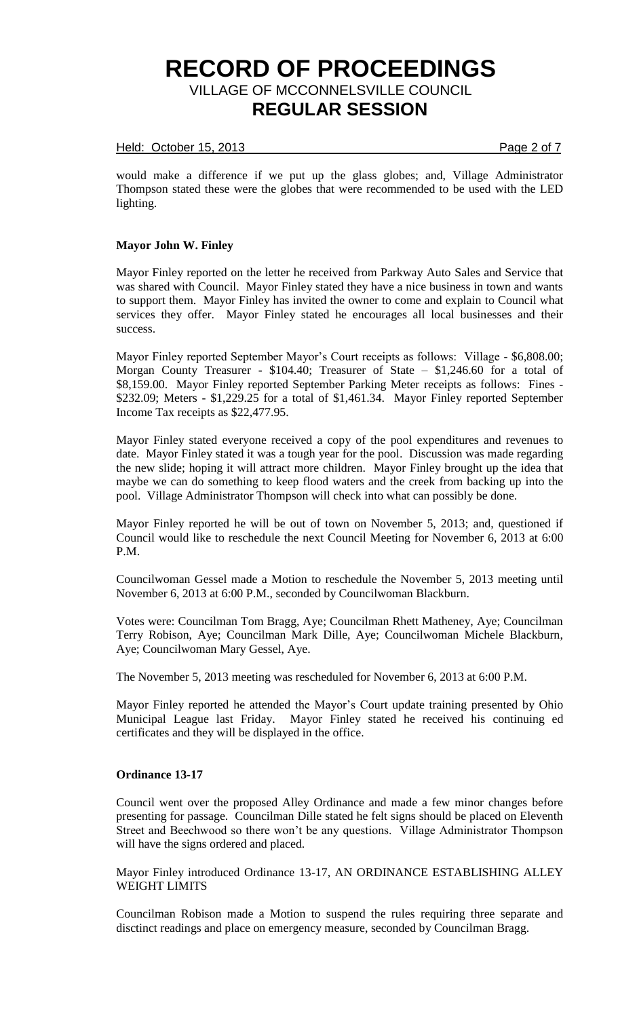### Held: October 15, 2013 **Page 2 of 7**

would make a difference if we put up the glass globes; and, Village Administrator Thompson stated these were the globes that were recommended to be used with the LED lighting.

### **Mayor John W. Finley**

Mayor Finley reported on the letter he received from Parkway Auto Sales and Service that was shared with Council. Mayor Finley stated they have a nice business in town and wants to support them. Mayor Finley has invited the owner to come and explain to Council what services they offer. Mayor Finley stated he encourages all local businesses and their success.

Mayor Finley reported September Mayor's Court receipts as follows: Village - \$6,808.00; Morgan County Treasurer - \$104.40; Treasurer of State – \$1,246.60 for a total of \$8,159.00. Mayor Finley reported September Parking Meter receipts as follows: Fines - \$232.09; Meters - \$1,229.25 for a total of \$1,461.34. Mayor Finley reported September Income Tax receipts as \$22,477.95.

Mayor Finley stated everyone received a copy of the pool expenditures and revenues to date. Mayor Finley stated it was a tough year for the pool. Discussion was made regarding the new slide; hoping it will attract more children. Mayor Finley brought up the idea that maybe we can do something to keep flood waters and the creek from backing up into the pool. Village Administrator Thompson will check into what can possibly be done.

Mayor Finley reported he will be out of town on November 5, 2013; and, questioned if Council would like to reschedule the next Council Meeting for November 6, 2013 at 6:00 P.M.

Councilwoman Gessel made a Motion to reschedule the November 5, 2013 meeting until November 6, 2013 at 6:00 P.M., seconded by Councilwoman Blackburn.

Votes were: Councilman Tom Bragg, Aye; Councilman Rhett Matheney, Aye; Councilman Terry Robison, Aye; Councilman Mark Dille, Aye; Councilwoman Michele Blackburn, Aye; Councilwoman Mary Gessel, Aye.

The November 5, 2013 meeting was rescheduled for November 6, 2013 at 6:00 P.M.

Mayor Finley reported he attended the Mayor's Court update training presented by Ohio Municipal League last Friday. Mayor Finley stated he received his continuing ed certificates and they will be displayed in the office.

#### **Ordinance 13-17**

Council went over the proposed Alley Ordinance and made a few minor changes before presenting for passage. Councilman Dille stated he felt signs should be placed on Eleventh Street and Beechwood so there won't be any questions. Village Administrator Thompson will have the signs ordered and placed.

Mayor Finley introduced Ordinance 13-17, AN ORDINANCE ESTABLISHING ALLEY WEIGHT LIMITS

Councilman Robison made a Motion to suspend the rules requiring three separate and disctinct readings and place on emergency measure, seconded by Councilman Bragg.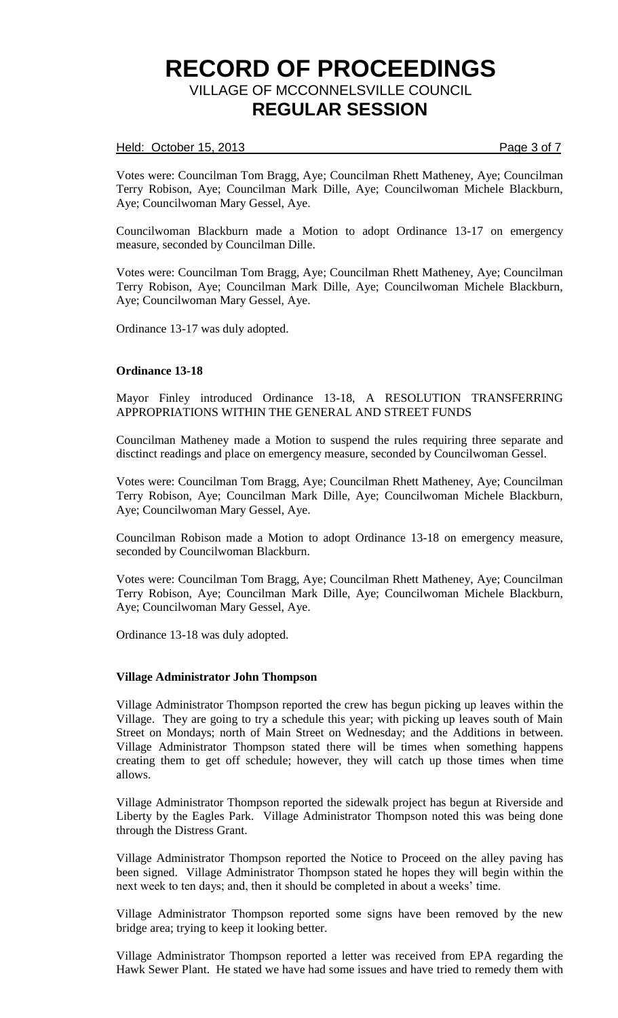### Held: October 15, 2013 **Page 3 of 7**

Votes were: Councilman Tom Bragg, Aye; Councilman Rhett Matheney, Aye; Councilman Terry Robison, Aye; Councilman Mark Dille, Aye; Councilwoman Michele Blackburn, Aye; Councilwoman Mary Gessel, Aye.

Councilwoman Blackburn made a Motion to adopt Ordinance 13-17 on emergency measure, seconded by Councilman Dille.

Votes were: Councilman Tom Bragg, Aye; Councilman Rhett Matheney, Aye; Councilman Terry Robison, Aye; Councilman Mark Dille, Aye; Councilwoman Michele Blackburn, Aye; Councilwoman Mary Gessel, Aye.

Ordinance 13-17 was duly adopted.

### **Ordinance 13-18**

Mayor Finley introduced Ordinance 13-18, A RESOLUTION TRANSFERRING APPROPRIATIONS WITHIN THE GENERAL AND STREET FUNDS

Councilman Matheney made a Motion to suspend the rules requiring three separate and disctinct readings and place on emergency measure, seconded by Councilwoman Gessel.

Votes were: Councilman Tom Bragg, Aye; Councilman Rhett Matheney, Aye; Councilman Terry Robison, Aye; Councilman Mark Dille, Aye; Councilwoman Michele Blackburn, Aye; Councilwoman Mary Gessel, Aye.

Councilman Robison made a Motion to adopt Ordinance 13-18 on emergency measure, seconded by Councilwoman Blackburn.

Votes were: Councilman Tom Bragg, Aye; Councilman Rhett Matheney, Aye; Councilman Terry Robison, Aye; Councilman Mark Dille, Aye; Councilwoman Michele Blackburn, Aye; Councilwoman Mary Gessel, Aye.

Ordinance 13-18 was duly adopted.

#### **Village Administrator John Thompson**

Village Administrator Thompson reported the crew has begun picking up leaves within the Village. They are going to try a schedule this year; with picking up leaves south of Main Street on Mondays; north of Main Street on Wednesday; and the Additions in between. Village Administrator Thompson stated there will be times when something happens creating them to get off schedule; however, they will catch up those times when time allows.

Village Administrator Thompson reported the sidewalk project has begun at Riverside and Liberty by the Eagles Park. Village Administrator Thompson noted this was being done through the Distress Grant.

Village Administrator Thompson reported the Notice to Proceed on the alley paving has been signed. Village Administrator Thompson stated he hopes they will begin within the next week to ten days; and, then it should be completed in about a weeks' time.

Village Administrator Thompson reported some signs have been removed by the new bridge area; trying to keep it looking better.

Village Administrator Thompson reported a letter was received from EPA regarding the Hawk Sewer Plant. He stated we have had some issues and have tried to remedy them with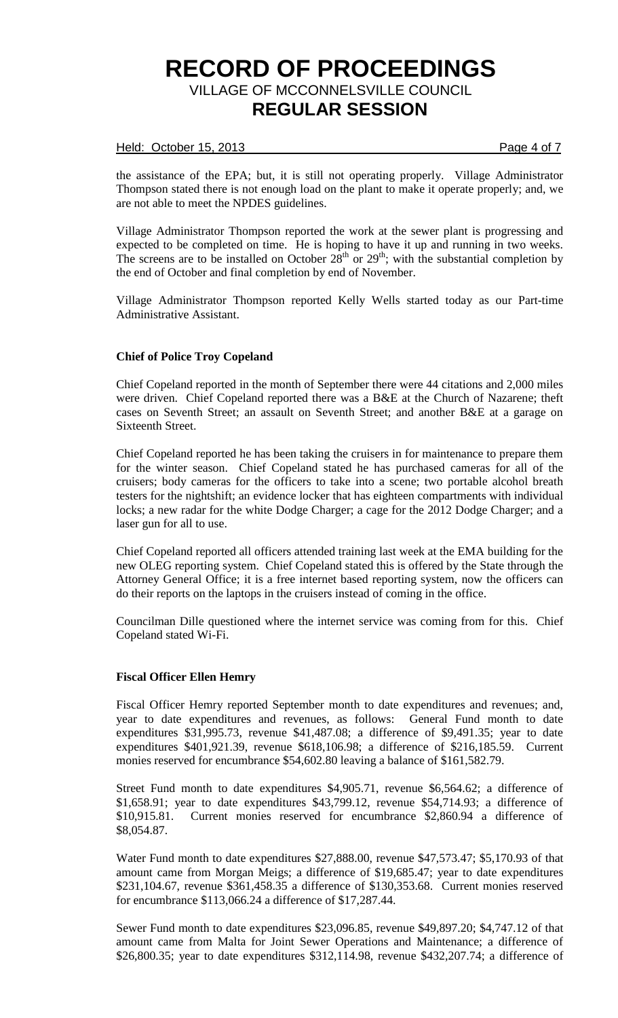### Held: October 15, 2013 **Page 4 of 7**

the assistance of the EPA; but, it is still not operating properly. Village Administrator Thompson stated there is not enough load on the plant to make it operate properly; and, we are not able to meet the NPDES guidelines.

Village Administrator Thompson reported the work at the sewer plant is progressing and expected to be completed on time. He is hoping to have it up and running in two weeks. The screens are to be installed on October  $28<sup>th</sup>$  or  $29<sup>th</sup>$ ; with the substantial completion by the end of October and final completion by end of November.

Village Administrator Thompson reported Kelly Wells started today as our Part-time Administrative Assistant.

## **Chief of Police Troy Copeland**

Chief Copeland reported in the month of September there were 44 citations and 2,000 miles were driven. Chief Copeland reported there was a B&E at the Church of Nazarene; theft cases on Seventh Street; an assault on Seventh Street; and another B&E at a garage on Sixteenth Street.

Chief Copeland reported he has been taking the cruisers in for maintenance to prepare them for the winter season. Chief Copeland stated he has purchased cameras for all of the cruisers; body cameras for the officers to take into a scene; two portable alcohol breath testers for the nightshift; an evidence locker that has eighteen compartments with individual locks; a new radar for the white Dodge Charger; a cage for the 2012 Dodge Charger; and a laser gun for all to use.

Chief Copeland reported all officers attended training last week at the EMA building for the new OLEG reporting system. Chief Copeland stated this is offered by the State through the Attorney General Office; it is a free internet based reporting system, now the officers can do their reports on the laptops in the cruisers instead of coming in the office.

Councilman Dille questioned where the internet service was coming from for this. Chief Copeland stated Wi-Fi.

## **Fiscal Officer Ellen Hemry**

Fiscal Officer Hemry reported September month to date expenditures and revenues; and, year to date expenditures and revenues, as follows: General Fund month to date expenditures \$31,995.73, revenue \$41,487.08; a difference of \$9,491.35; year to date expenditures \$401,921.39, revenue \$618,106.98; a difference of \$216,185.59. Current monies reserved for encumbrance \$54,602.80 leaving a balance of \$161,582.79.

Street Fund month to date expenditures \$4,905.71, revenue \$6,564.62; a difference of \$1,658.91; year to date expenditures \$43,799.12, revenue \$54,714.93; a difference of \$10,915.81. Current monies reserved for encumbrance \$2,860.94 a difference of \$8,054.87.

Water Fund month to date expenditures \$27,888.00, revenue \$47,573.47; \$5,170.93 of that amount came from Morgan Meigs; a difference of \$19,685.47; year to date expenditures \$231,104.67, revenue \$361,458.35 a difference of \$130,353.68. Current monies reserved for encumbrance \$113,066.24 a difference of \$17,287.44.

Sewer Fund month to date expenditures \$23,096.85, revenue \$49,897.20; \$4,747.12 of that amount came from Malta for Joint Sewer Operations and Maintenance; a difference of \$26,800.35; year to date expenditures \$312,114.98, revenue \$432,207.74; a difference of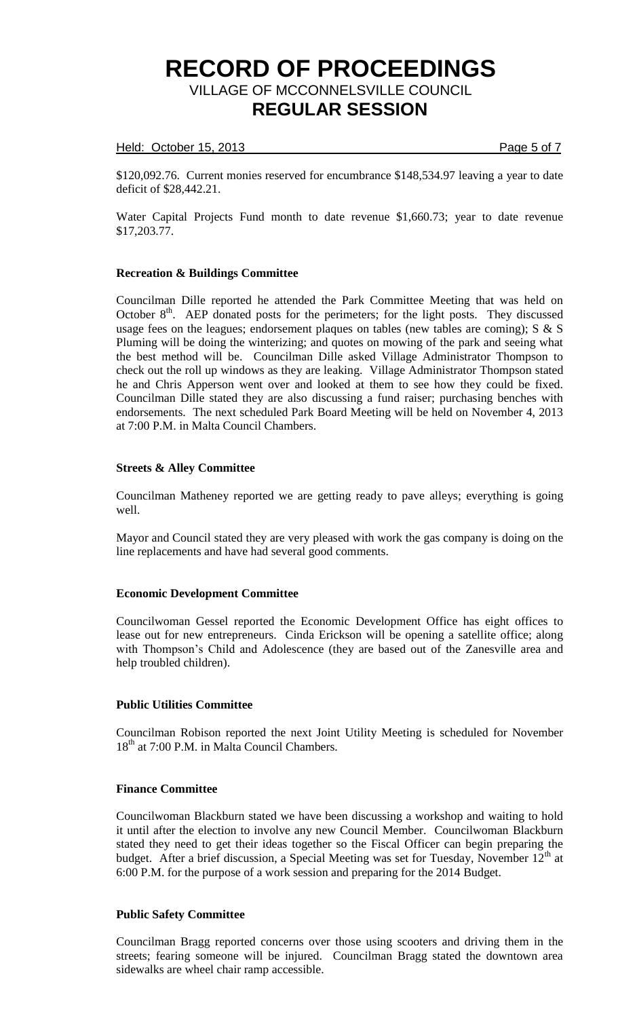### Held: October 15, 2013 **Page 5 of 7**

\$120,092.76. Current monies reserved for encumbrance \$148,534.97 leaving a year to date deficit of \$28,442.21.

Water Capital Projects Fund month to date revenue \$1,660.73; year to date revenue \$17,203.77.

### **Recreation & Buildings Committee**

Councilman Dille reported he attended the Park Committee Meeting that was held on October  $8<sup>th</sup>$ . AEP donated posts for the perimeters; for the light posts. They discussed usage fees on the leagues; endorsement plaques on tables (new tables are coming); S & S Pluming will be doing the winterizing; and quotes on mowing of the park and seeing what the best method will be. Councilman Dille asked Village Administrator Thompson to check out the roll up windows as they are leaking. Village Administrator Thompson stated he and Chris Apperson went over and looked at them to see how they could be fixed. Councilman Dille stated they are also discussing a fund raiser; purchasing benches with endorsements. The next scheduled Park Board Meeting will be held on November 4, 2013 at 7:00 P.M. in Malta Council Chambers.

### **Streets & Alley Committee**

Councilman Matheney reported we are getting ready to pave alleys; everything is going well.

Mayor and Council stated they are very pleased with work the gas company is doing on the line replacements and have had several good comments.

## **Economic Development Committee**

Councilwoman Gessel reported the Economic Development Office has eight offices to lease out for new entrepreneurs. Cinda Erickson will be opening a satellite office; along with Thompson's Child and Adolescence (they are based out of the Zanesville area and help troubled children).

## **Public Utilities Committee**

Councilman Robison reported the next Joint Utility Meeting is scheduled for November 18<sup>th</sup> at 7:00 P.M. in Malta Council Chambers.

## **Finance Committee**

Councilwoman Blackburn stated we have been discussing a workshop and waiting to hold it until after the election to involve any new Council Member. Councilwoman Blackburn stated they need to get their ideas together so the Fiscal Officer can begin preparing the budget. After a brief discussion, a Special Meeting was set for Tuesday, November  $12<sup>th</sup>$  at 6:00 P.M. for the purpose of a work session and preparing for the 2014 Budget.

## **Public Safety Committee**

Councilman Bragg reported concerns over those using scooters and driving them in the streets; fearing someone will be injured. Councilman Bragg stated the downtown area sidewalks are wheel chair ramp accessible.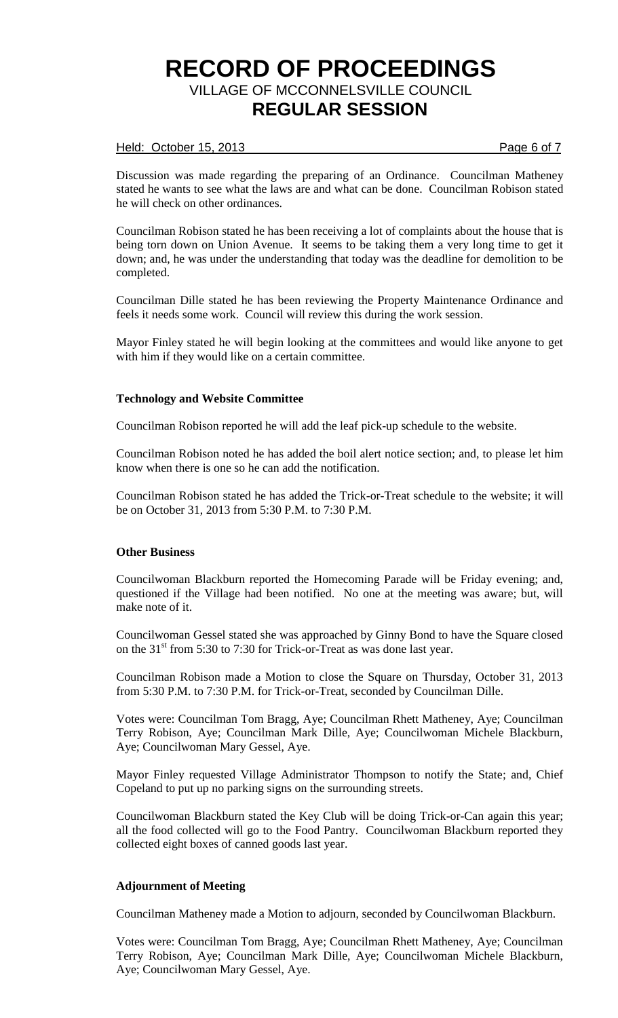### Held: October 15, 2013 **Page 6 of 7** Page 6 of 7

Discussion was made regarding the preparing of an Ordinance. Councilman Matheney stated he wants to see what the laws are and what can be done. Councilman Robison stated he will check on other ordinances.

Councilman Robison stated he has been receiving a lot of complaints about the house that is being torn down on Union Avenue. It seems to be taking them a very long time to get it down; and, he was under the understanding that today was the deadline for demolition to be completed.

Councilman Dille stated he has been reviewing the Property Maintenance Ordinance and feels it needs some work. Council will review this during the work session.

Mayor Finley stated he will begin looking at the committees and would like anyone to get with him if they would like on a certain committee.

## **Technology and Website Committee**

Councilman Robison reported he will add the leaf pick-up schedule to the website.

Councilman Robison noted he has added the boil alert notice section; and, to please let him know when there is one so he can add the notification.

Councilman Robison stated he has added the Trick-or-Treat schedule to the website; it will be on October 31, 2013 from 5:30 P.M. to 7:30 P.M.

#### **Other Business**

Councilwoman Blackburn reported the Homecoming Parade will be Friday evening; and, questioned if the Village had been notified. No one at the meeting was aware; but, will make note of it.

Councilwoman Gessel stated she was approached by Ginny Bond to have the Square closed on the 31<sup>st</sup> from 5:30 to 7:30 for Trick-or-Treat as was done last year.

Councilman Robison made a Motion to close the Square on Thursday, October 31, 2013 from 5:30 P.M. to 7:30 P.M. for Trick-or-Treat, seconded by Councilman Dille.

Votes were: Councilman Tom Bragg, Aye; Councilman Rhett Matheney, Aye; Councilman Terry Robison, Aye; Councilman Mark Dille, Aye; Councilwoman Michele Blackburn, Aye; Councilwoman Mary Gessel, Aye.

Mayor Finley requested Village Administrator Thompson to notify the State; and, Chief Copeland to put up no parking signs on the surrounding streets.

Councilwoman Blackburn stated the Key Club will be doing Trick-or-Can again this year; all the food collected will go to the Food Pantry. Councilwoman Blackburn reported they collected eight boxes of canned goods last year.

## **Adjournment of Meeting**

Councilman Matheney made a Motion to adjourn, seconded by Councilwoman Blackburn.

Votes were: Councilman Tom Bragg, Aye; Councilman Rhett Matheney, Aye; Councilman Terry Robison, Aye; Councilman Mark Dille, Aye; Councilwoman Michele Blackburn, Aye; Councilwoman Mary Gessel, Aye.